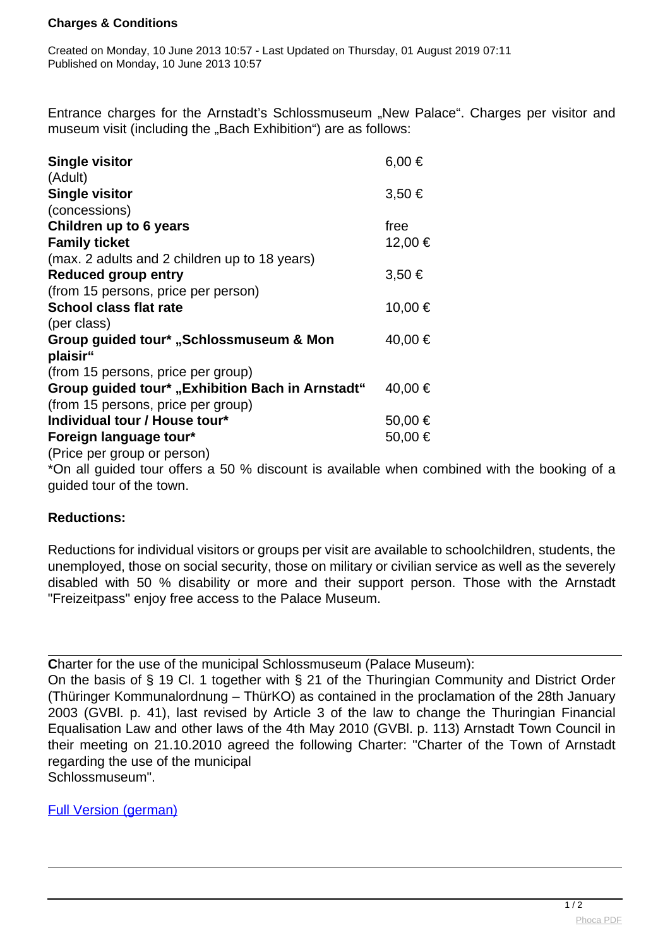## **Charges & Conditions**

Created on Monday, 10 June 2013 10:57 - Last Updated on Thursday, 01 August 2019 07:11 Published on Monday, 10 June 2013 10:57

Entrance charges for the Arnstadt's Schlossmuseum "New Palace". Charges per visitor and museum visit (including the "Bach Exhibition") are as follows:

| <b>Single visitor</b>                               | 6,00 €     |
|-----------------------------------------------------|------------|
| (Adult)                                             |            |
| <b>Single visitor</b>                               | $3,50 \in$ |
| (concessions)                                       |            |
| Children up to 6 years                              | free       |
| <b>Family ticket</b>                                | 12,00 €    |
| (max. 2 adults and 2 children up to 18 years)       |            |
| <b>Reduced group entry</b>                          | $3,50 \in$ |
| (from 15 persons, price per person)                 |            |
| <b>School class flat rate</b>                       | 10,00 €    |
| (per class)                                         |            |
| Group guided tour* "Schlossmuseum & Mon<br>plaisir" | 40,00 €    |
| (from 15 persons, price per group)                  |            |
| Group guided tour* "Exhibition Bach in Arnstadt"    | 40,00 €    |
| (from 15 persons, price per group)                  |            |
| Individual tour / House tour*                       | 50,00 €    |
| Foreign language tour*                              | 50,00 €    |
| (Price per group or person)                         |            |

\*On all guided tour offers a 50 % discount is available when combined with the booking of a guided tour of the town.

## **Reductions:**

Reductions for individual visitors or groups per visit are available to schoolchildren, students, the unemployed, those on social security, those on military or civilian service as well as the severely disabled with 50 % disability or more and their support person. Those with the Arnstadt "Freizeitpass" enjoy free access to the Palace Museum.

**Charter for the use of the municipal Schlossmuseum (Palace Museum):** 

On the basis of § 19 Cl. 1 together with § 21 of the Thuringian Community and District Order (Thüringer Kommunalordnung – ThürKO) as contained in the proclamation of the 28th January 2003 (GVBl. p. 41), last revised by Article 3 of the law to change the Thuringian Financial Equalisation Law and other laws of the 4th May 2010 (GVBl. p. 113) Arnstadt Town Council in their meeting on 21.10.2010 agreed the following Charter: "Charter of the Town of Arnstadt regarding the use of the municipal Schlossmuseum".

[Full Version \(german\)](download/nutzung_schlossmuseum.pdf)